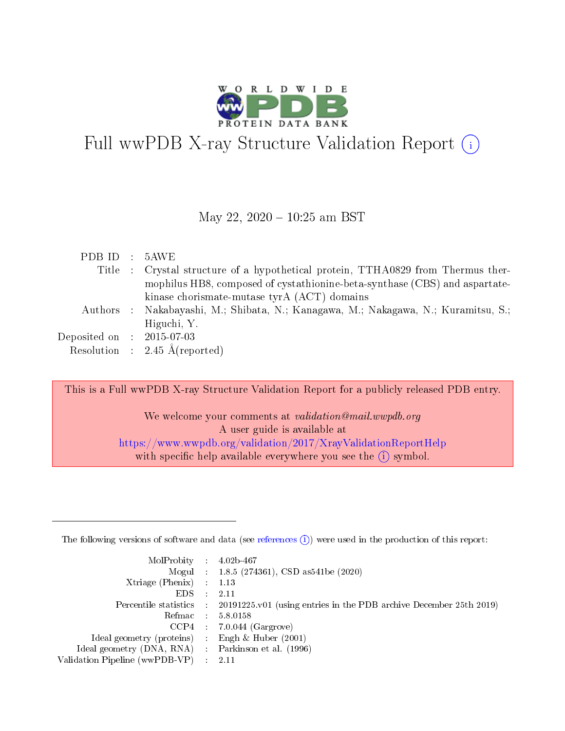

# Full wwPDB X-ray Structure Validation Report (i)

#### May 22, 2020 - 10:25 am BST

| PDB ID : 5AWE               |                                                                                    |
|-----------------------------|------------------------------------------------------------------------------------|
|                             | Title : Crystal structure of a hypothetical protein, TTHA0829 from Thermus ther-   |
|                             | mophilus HB8, composed of cystathionine-beta-synthase (CBS) and aspartate-         |
|                             | kinase chorismate-mutase tyrA (ACT) domains                                        |
|                             | Authors : Nakabayashi, M.; Shibata, N.; Kanagawa, M.; Nakagawa, N.; Kuramitsu, S.; |
|                             | Higuchi, Y.                                                                        |
| Deposited on : $2015-07-03$ |                                                                                    |
|                             | Resolution : $2.45 \text{ Å}$ (reported)                                           |

This is a Full wwPDB X-ray Structure Validation Report for a publicly released PDB entry.

We welcome your comments at validation@mail.wwpdb.org A user guide is available at <https://www.wwpdb.org/validation/2017/XrayValidationReportHelp> with specific help available everywhere you see the  $(i)$  symbol.

The following versions of software and data (see [references](https://www.wwpdb.org/validation/2017/XrayValidationReportHelp#references)  $(1)$ ) were used in the production of this report:

| $MolProbability$ : 4.02b-467                      |                              |                                                                                            |
|---------------------------------------------------|------------------------------|--------------------------------------------------------------------------------------------|
|                                                   |                              | Mogul : $1.8.5$ (274361), CSD as 541be (2020)                                              |
| Xtriage (Phenix) $: 1.13$                         |                              |                                                                                            |
| EDS –                                             | $\sim$                       | -2.11                                                                                      |
|                                                   |                              | Percentile statistics : 20191225.v01 (using entries in the PDB archive December 25th 2019) |
| Refmac : 5.8.0158                                 |                              |                                                                                            |
| CCP4                                              |                              | $7.0.044$ (Gargrove)                                                                       |
| Ideal geometry (proteins)                         | $\mathcal{L}_{\mathrm{eff}}$ | Engh & Huber $(2001)$                                                                      |
| Ideal geometry (DNA, RNA) Parkinson et al. (1996) |                              |                                                                                            |
| Validation Pipeline (wwPDB-VP) : 2.11             |                              |                                                                                            |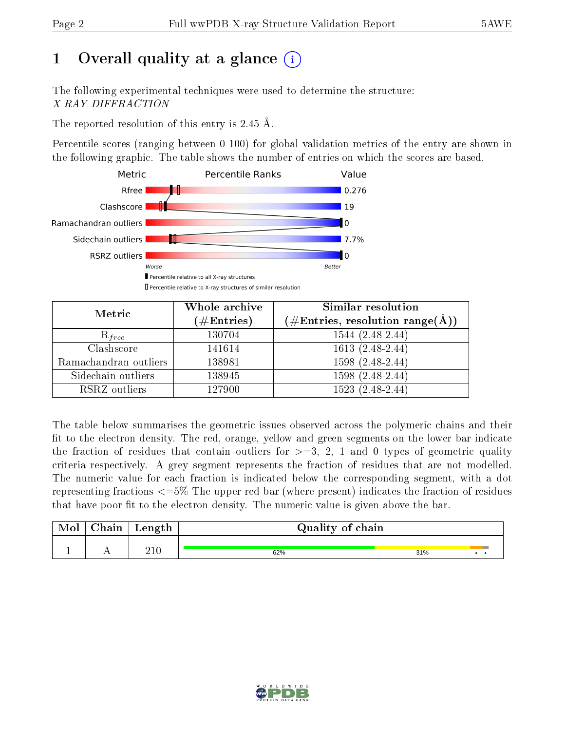# 1 [O](https://www.wwpdb.org/validation/2017/XrayValidationReportHelp#overall_quality)verall quality at a glance  $(i)$

The following experimental techniques were used to determine the structure: X-RAY DIFFRACTION

The reported resolution of this entry is 2.45 Å.

Percentile scores (ranging between 0-100) for global validation metrics of the entry are shown in the following graphic. The table shows the number of entries on which the scores are based.



| Metric                | Whole archive<br>$(\#\mathrm{Entries})$ | <b>Similar resolution</b><br>$(\#\text{Entries},\,\text{resolution}\,\,\text{range}(\textup{\AA}))$ |
|-----------------------|-----------------------------------------|-----------------------------------------------------------------------------------------------------|
| $R_{free}$            | 130704                                  | $1544(2.48-2.44)$                                                                                   |
| Clashscore            | 141614                                  | $1613(2.48-2.44)$                                                                                   |
| Ramachandran outliers | 138981                                  | $1598(2.48-2.44)$                                                                                   |
| Sidechain outliers    | 138945                                  | 1598 (2.48-2.44)                                                                                    |
| RSRZ outliers         | 127900                                  | $1523(2.48-2.44)$                                                                                   |

The table below summarises the geometric issues observed across the polymeric chains and their fit to the electron density. The red, orange, yellow and green segments on the lower bar indicate the fraction of residues that contain outliers for  $>=3, 2, 1$  and 0 types of geometric quality criteria respectively. A grey segment represents the fraction of residues that are not modelled. The numeric value for each fraction is indicated below the corresponding segment, with a dot representing fractions  $\epsilon=5\%$  The upper red bar (where present) indicates the fraction of residues that have poor fit to the electron density. The numeric value is given above the bar.

| Mol       | $\gamma$ hain | Length       | Quality of chain |     |  |
|-----------|---------------|--------------|------------------|-----|--|
| <u>д.</u> | . .           | ን1 ቦ<br>21 U | 62%              | 31% |  |

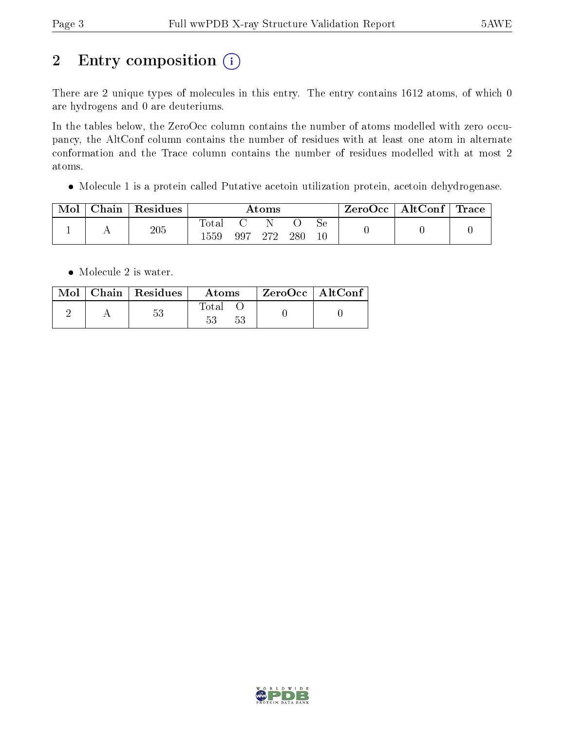# 2 Entry composition (i)

There are 2 unique types of molecules in this entry. The entry contains 1612 atoms, of which 0 are hydrogens and 0 are deuteriums.

In the tables below, the ZeroOcc column contains the number of atoms modelled with zero occupancy, the AltConf column contains the number of residues with at least one atom in alternate conformation and the Trace column contains the number of residues modelled with at most 2 atoms.

Molecule 1 is a protein called Putative acetoin utilization protein, acetoin dehydrogenase.

| Mol | Chain | Residues | Atoms         |     |       | ZeroOcc   AltConf   Trace |  |  |  |
|-----|-------|----------|---------------|-----|-------|---------------------------|--|--|--|
|     |       | 205      | Total<br>1559 | 997 | -272- | 280                       |  |  |  |

• Molecule 2 is water.

|  | Mol   Chain   Residues | Atoms | $\mid$ ZeroOcc $\mid$ AltConf $\mid$ |  |
|--|------------------------|-------|--------------------------------------|--|
|  | $53\,$                 | Total |                                      |  |

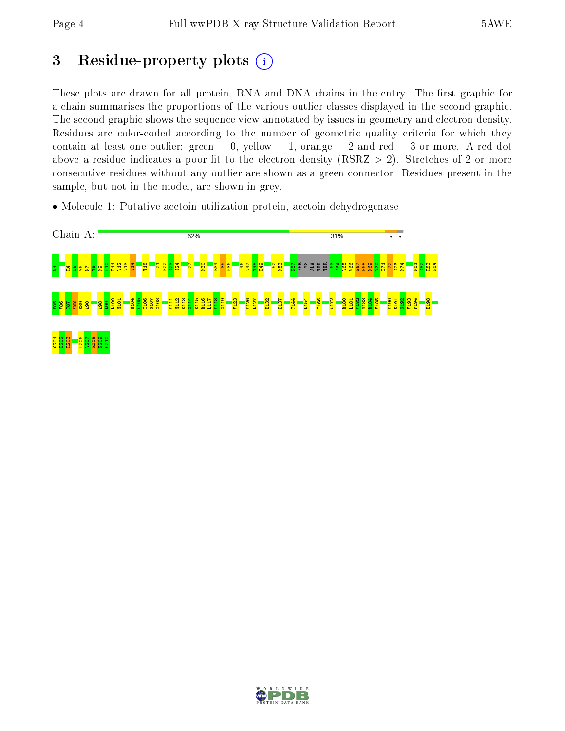# 3 Residue-property plots  $(i)$

These plots are drawn for all protein, RNA and DNA chains in the entry. The first graphic for a chain summarises the proportions of the various outlier classes displayed in the second graphic. The second graphic shows the sequence view annotated by issues in geometry and electron density. Residues are color-coded according to the number of geometric quality criteria for which they contain at least one outlier: green  $= 0$ , yellow  $= 1$ , orange  $= 2$  and red  $= 3$  or more. A red dot above a residue indicates a poor fit to the electron density (RSRZ  $> 2$ ). Stretches of 2 or more consecutive residues without any outlier are shown as a green connector. Residues present in the sample, but not in the model, are shown in grey.

• Molecule 1: Putative acetoin utilization protein, acetoin dehydrogenase



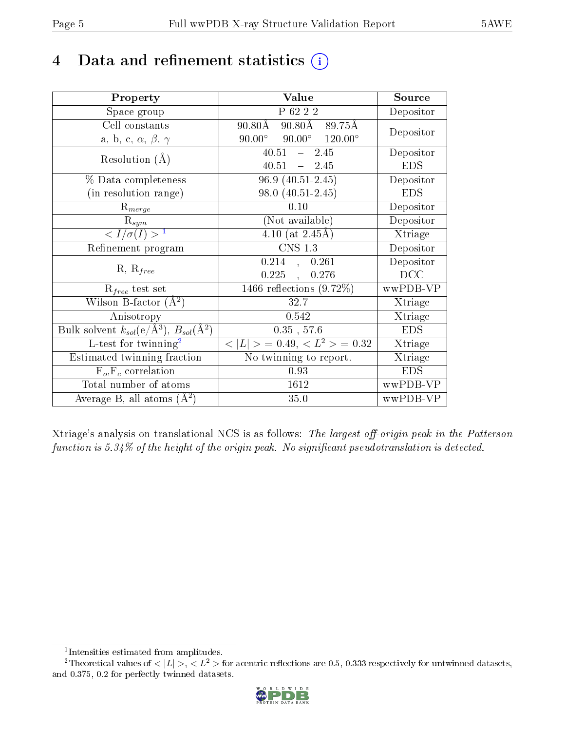# 4 Data and refinement statistics  $(i)$

| Property                                                                | Value                                            | Source     |
|-------------------------------------------------------------------------|--------------------------------------------------|------------|
| Space group                                                             | P 62 2 2                                         | Depositor  |
| Cell constants                                                          | $90.80\text{\AA}$<br>$90.80{\rm \AA}$<br>89.75Å  | Depositor  |
| a, b, c, $\alpha$ , $\beta$ , $\gamma$                                  | $90.00^{\circ}$ $90.00^{\circ}$ $120.00^{\circ}$ |            |
| Resolution $(A)$                                                        | $40.51 - 2.45$                                   | Depositor  |
|                                                                         | 40.51<br>$-2.45$                                 | <b>EDS</b> |
| % Data completeness                                                     | $96.9(40.51-2.45)$                               | Depositor  |
| (in resolution range)                                                   | $98.0(40.51-2.45)$                               | <b>EDS</b> |
| $R_{merge}$                                                             | 0.10                                             | Depositor  |
| $\mathrm{R}_{sym}$                                                      | (Not available)                                  | Depositor  |
| $\langle I/\sigma(I) \rangle^{-1}$                                      | 4.10 (at $2.45\text{\AA}$ )                      | Xtriage    |
| Refinement program                                                      | <b>CNS 1.3</b>                                   | Depositor  |
|                                                                         | $0.214$ , $0.261$                                | Depositor  |
| $R, R_{free}$                                                           | $0.225$ ,<br>0.276                               | DCC        |
| $R_{free}$ test set                                                     | $1466$ reflections $(9.72\%)$                    | wwPDB-VP   |
| Wilson B-factor $(A^2)$                                                 | 32.7                                             | Xtriage    |
| Anisotropy                                                              | 0.542                                            | Xtriage    |
| Bulk solvent $k_{sol}(\mathrm{e}/\mathrm{A}^3),\,B_{sol}(\mathrm{A}^2)$ | $0.35$ , 57.6                                    | <b>EDS</b> |
| L-test for twinning <sup>2</sup>                                        | $< L >$ = 0.49, $< L^2 >$ = 0.32                 | Xtriage    |
| Estimated twinning fraction                                             | No twinning to report.                           | Xtriage    |
| $F_o, F_c$ correlation                                                  | 0.93                                             | <b>EDS</b> |
| Total number of atoms                                                   | 1612                                             | wwPDB-VP   |
| Average B, all atoms $(A^2)$                                            | 35.0                                             | wwPDB-VP   |

Xtriage's analysis on translational NCS is as follows: The largest off-origin peak in the Patterson function is  $5.34\%$  of the height of the origin peak. No significant pseudotranslation is detected.

<sup>&</sup>lt;sup>2</sup>Theoretical values of  $\langle |L| \rangle$ ,  $\langle L^2 \rangle$  for acentric reflections are 0.5, 0.333 respectively for untwinned datasets, and 0.375, 0.2 for perfectly twinned datasets.



<span id="page-4-1"></span><span id="page-4-0"></span><sup>1</sup> Intensities estimated from amplitudes.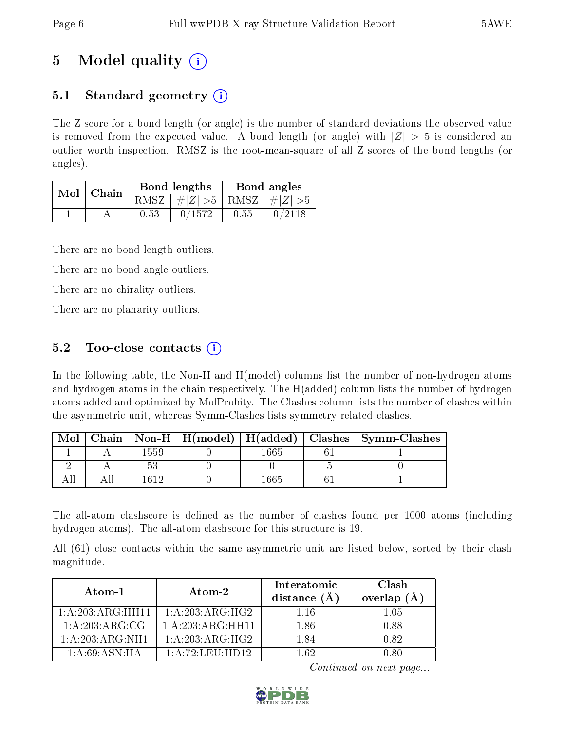# 5 Model quality  $(i)$

# 5.1 Standard geometry  $(i)$

The Z score for a bond length (or angle) is the number of standard deviations the observed value is removed from the expected value. A bond length (or angle) with  $|Z| > 5$  is considered an outlier worth inspection. RMSZ is the root-mean-square of all Z scores of the bond lengths (or angles).

| Mol | Chain |      | <b>Bond lengths</b>             | Bond angles |        |
|-----|-------|------|---------------------------------|-------------|--------|
|     |       |      | RMSZ $ #Z  > 5$ RMSZ $ #Z  > 5$ |             |        |
|     |       | 0.53 | 0/1572                          | 0.55        | 0/2118 |

There are no bond length outliers.

There are no bond angle outliers.

There are no chirality outliers.

There are no planarity outliers.

## 5.2 Too-close contacts  $\overline{()}$

In the following table, the Non-H and H(model) columns list the number of non-hydrogen atoms and hydrogen atoms in the chain respectively. The H(added) column lists the number of hydrogen atoms added and optimized by MolProbity. The Clashes column lists the number of clashes within the asymmetric unit, whereas Symm-Clashes lists symmetry related clashes.

| Mol |      |     | Chain   Non-H   H(model)   H(added)   Clashes   Symm-Clashes |
|-----|------|-----|--------------------------------------------------------------|
|     | 1559 |     |                                                              |
|     |      |     |                                                              |
|     | 1619 | 665 |                                                              |

The all-atom clashscore is defined as the number of clashes found per 1000 atoms (including hydrogen atoms). The all-atom clashscore for this structure is 19.

All (61) close contacts within the same asymmetric unit are listed below, sorted by their clash magnitude.

| Atom-1           | Atom-2           | Interatomic<br>distance $(\AA)$ | Clash<br>overlap $(A)$ |
|------------------|------------------|---------------------------------|------------------------|
| 1:A:203:ARG:HH11 | 1: A:203:ARG:HG2 | 1.16                            | $1.05\,$               |
| 1: A:203:ARG:CG  | 1:A:203:ARG:HH11 | 1.86                            | 0.88                   |
| 1:A:203:ARG:NH1  | 1:A:203:ARG:HG2  | 1.84                            | 0.82                   |
| 1: A:69: ASN: HA | 1:A:72:LEU:HD12  | 1 62                            | N 80                   |

Continued on next page...

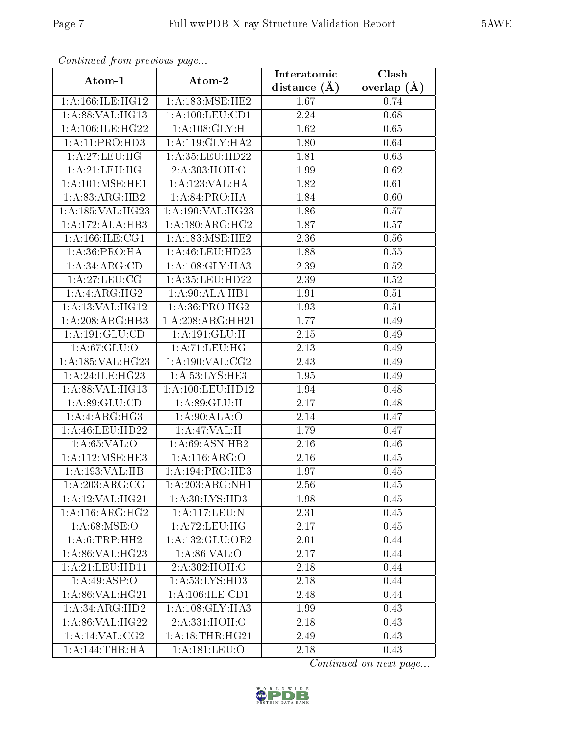| сонинией јтот ртеvиоиз раде     |                           | Interatomic       | Clash         |
|---------------------------------|---------------------------|-------------------|---------------|
| Atom-1                          | Atom-2                    | distance $(\AA)$  | overlap $(A)$ |
| 1: A: 166: ILE: HG12            | 1: A:183:MSE:HE2          | 1.67              | 0.74          |
| 1: A:88: VAL:HG13               | 1:A:100:LEU:CD1           | $\overline{2.24}$ | 0.68          |
| 1: A: 106: ILE: HG22            | 1: A: 108: GLY: H         | 1.62              | 0.65          |
| 1: A:11: PRO:HD3                | 1: A:119: GLY:HA2         | 1.80              | 0.64          |
| 1:A:27:LEU:HG                   | 1:A:35:LEU:HD22           | 1.81              | 0.63          |
| 1:A:21:LEU:HG                   | 2:A:303:HOH:O             | 1.99              | 0.62          |
| 1: A:101: MSE: HE1              | 1:A:123:VAL:HA            | 1.82              | 0.61          |
| 1: A:83: ARG:HB2                | 1: A:84: PRO:HA           | 1.84              | 0.60          |
| 1:A:185:VAL:HG23                | 1:A:190:VAL:HG23          | 1.86              | 0.57          |
| 1:A:172:ALA:HB3                 | 1: A:180:ARG:HG2          | 1.87              | 0.57          |
| $1: A:166: ILE: \overline{CG1}$ | 1: A:183:MSE:HE2          | 2.36              | 0.56          |
| 1: A:36: PRO:HA                 | 1:A:46:LEU:HD23           | 1.88              | 0.55          |
| 1: A:34: ARG:CD                 | 1:A:108:GLY:HA3           | 2.39              | 0.52          |
| 1:A:27:LEU:CG                   | 1:A:35:LEU:HD22           | 2.39              | 0.52          |
| 1:A:ARG:HG2                     | 1: A:90:ALA:HB1           | 1.91              | 0.51          |
| 1:A:13:VAL:HG12                 | 1:A:36:PRO:HG2            | 1.93              | 0.51          |
| 1:A:208:ARG:HB3                 | 1:A:208:ARG:HH21          | 1.77              | 0.49          |
| 1: A: 191: GLU: CD              | 1:A:191:GLU:H             | 2.15              | 0.49          |
| 1: A:67:GLU:O                   | 1:A:71:LEU:HG             | 2.13              | 0.49          |
| 1:A:185:VAL:HG23                | 1: A:190: VAL: CG2        | 2.43              | 0.49          |
| 1:A:24:ILE:HG23                 | 1: A: 53: LYS: HE3        | $\overline{1}.95$ | 0.49          |
| 1:A:88:VAL:HG13                 | 1:A:100:LEU:HD12          | 1.94              | 0.48          |
| 1: A:89: GLU:CD                 | 1:A:89:GLU:H              | 2.17              | 0.48          |
| 1:A:ARG:HG3                     | 1:A:90:ALA:O              | 2.14              | 0.47          |
| 1: A:46: LEU:HD22               | 1:A:47:VAL:H              | 1.79              | 0.47          |
| 1: A:65:VAL:O                   | 1: A:69: ASN:HB2          | 2.16              | 0.46          |
| 1: A: 112: MSE: HE3             | 1:A:116:ARG:O             | 2.16              | 0.45          |
| 1:A:193:VAL:HB                  | 1:A:194:PRO:HD3           | 1.97              | 0.45          |
| 1: A:203:ARG:CG                 | 1:A:203:ARG:NH1           | 2.56              | 0.45          |
| 1:A:12:VAL:HG21                 | 1:A:30:LYS:HD3            | 1.98              | 0.45          |
| $1:A:116:AR\overline{G:HG2}$    | 1:A:117:LEU:N             | 2.31              | 0.45          |
| 1: A:68: MSE:O                  | 1:A:72:LEU:HG             | 2.17              | 0.45          |
| 1: A:6:TRP:HH2                  | 1:A:132:GLU:OE2           | 2.01              | 0.44          |
| 1: A:86: VAL:HG23               | $1:A:86:\overline{VAL}:O$ | 2.17              | 0.44          |
| 1: A:21:LEU:HD11                | 2: A:302: HOH:O           | 2.18              | 0.44          |
| 1:A:49:ASP:O                    | 1: A: 53: LYS: HD3        | 2.18              | 0.44          |
| 1: A:86: VAL:HG21               | 1: A: 106: ILE: CD1       | 2.48              | 0.44          |
| 1: A:34: ARG:HD2                | 1:A:108:GLY:HA3           | 1.99              | 0.43          |
| 1: A:86: VAL:HG22               | 2:A:331:HOH:O             | 2.18              | 0.43          |
| 1: A:14:VAL:CG2                 | 1: A:18:THR:HG21          | 2.49              | 0.43          |
| 1:A:144:THR:HA                  | 1:A:181:LEU:O             | 2.18              | 0.43          |

Continued from previous page.

Continued on next page...

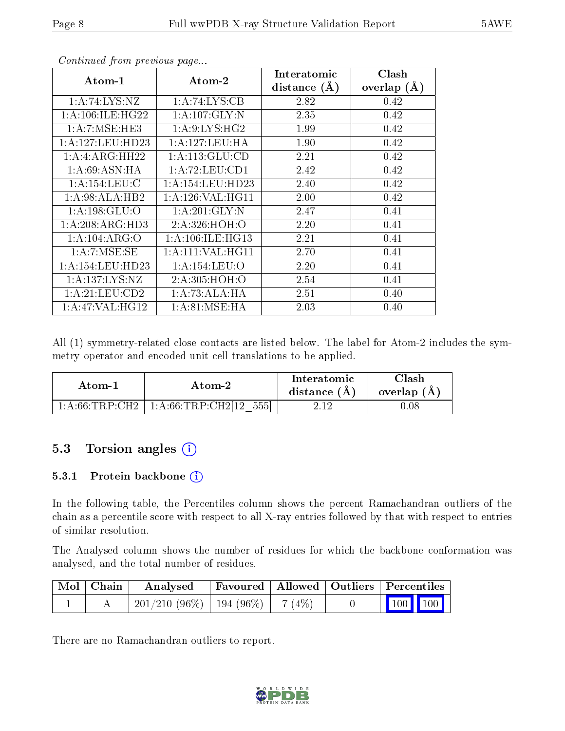|                     |                      | Interatomic    | Clash         |
|---------------------|----------------------|----------------|---------------|
| $Atom-1$            | Atom-2               | distance $(A)$ | overlap $(A)$ |
| 1:A:74:LYS:NZ       | 1: A:74: LYS: CB     | 2.82           | 0.42          |
| 1: A:106: ILE: HG22 | 1: A: 107: GLY: N    | 2.35           | 0.42          |
| 1:A:7:MSE:HE3       | 1: A:9: LYS: HG2     | 1.99           | 0.42          |
| 1: A:127: LEU: HD23 | 1: A: 127: LEU: HA   | 1.90           | 0.42          |
| 1: A: 4: ARG: HH22  | 1: A: 113: GLU: CD   | 2.21           | 0.42          |
| 1: A:69: ASN: HA    | 1:A:72:LEU:CD1       | 2.42           | 0.42          |
| 1: A:154:LEU: C     | 1: A: 154: LEU: HD23 | 2.40           | 0.42          |
| 1: A:98:ALA:HB2     | 1: A:126: VAL:HGI1   | 2.00           | 0.42          |
| 1: A: 198: GLU:O    | 1: A:201: GLY:N      | 2.47           | 0.41          |
| 1: A:208: ARG:HD3   | 2:A:326:HOH:O        | 2.20           | 0.41          |
| 1:A:104:ARG:O       | 1: A:106: ILE: HG13  | 2.21           | 0.41          |
| 1: A:7: MSE:SE      | 1: A: 111: VAL: HG11 | 2.70           | 0.41          |
| 1: A:154:LEU:HD23   | 1:A:154:LEU:O        | 2.20           | 0.41          |
| 1: A: 137: LYS: NZ  | 2:A:305:HOH:O        | 2.54           | 0.41          |
| 1: A:21:LEU:CD2     | 1:A:73:ALA:HA        | 2.51           | 0.40          |
| 1:A:47:VAL:HG12     | 1: A:81: MSE:HA      | 2.03           | 0.40          |

Continued from previous page...

All (1) symmetry-related close contacts are listed below. The label for Atom-2 includes the symmetry operator and encoded unit-cell translations to be applied.

| Atom-1                                                 | Atom-2                     | Interatomic<br>distance $(A)$ | $\operatorname{Clash}$<br>overlap (A) |  |
|--------------------------------------------------------|----------------------------|-------------------------------|---------------------------------------|--|
| $1 \cdot A \cdot 66 \cdot \text{TRP} \cdot \text{CH2}$ | 1: A:66:TRP:CH2[12]<br>555 | - 19                          | 1.08                                  |  |

## 5.3 Torsion angles (i)

#### 5.3.1 Protein backbone (i)

In the following table, the Percentiles column shows the percent Ramachandran outliers of the chain as a percentile score with respect to all X-ray entries followed by that with respect to entries of similar resolution.

The Analysed column shows the number of residues for which the backbone conformation was analysed, and the total number of residues.

| Mol   Chain | Analysed                                |  | Favoured   Allowed   Outliers   Percentiles                  |
|-------------|-----------------------------------------|--|--------------------------------------------------------------|
|             | $201/210$ (96\%)   194 (96\%)   7 (4\%) |  | $\begin{array}{ c c c c c }\n\hline\n100 & 100\n\end{array}$ |

There are no Ramachandran outliers to report.

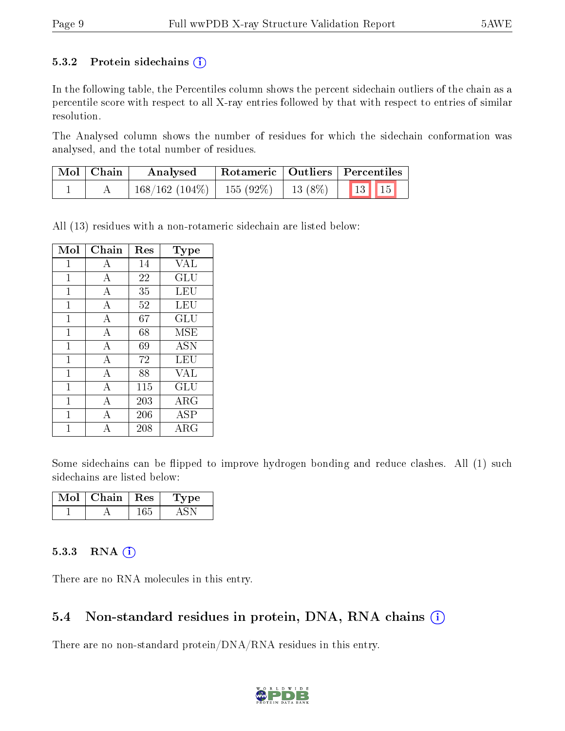#### 5.3.2 Protein sidechains  $(i)$

In the following table, the Percentiles column shows the percent sidechain outliers of the chain as a percentile score with respect to all X-ray entries followed by that with respect to entries of similar resolution.

The Analysed column shows the number of residues for which the sidechain conformation was analysed, and the total number of residues.

| Mol   Chain | Analysed                       |            | $^+$ Rotameric $\mid$ Outliers $\mid$ Percentiles |  |
|-------------|--------------------------------|------------|---------------------------------------------------|--|
|             | $168/162$ (104\%)   155 (92\%) | 13 $(8\%)$ | $13$   15                                         |  |

All (13) residues with a non-rotameric sidechain are listed below:

| Mol          | Chain | Res    | <b>Type</b>                    |
|--------------|-------|--------|--------------------------------|
| $\mathbf{1}$ | A     | 14     | VAL                            |
| 1            | А     | 22     | $\mathrm{GL} \bar{\mathrm{U}}$ |
| $\mathbf{1}$ | A     | 35     | LEU                            |
| $\mathbf{1}$ | А     | 52     | LEU                            |
| $\mathbf{1}$ | А     | $67\,$ | GLU                            |
| 1            | A     | 68     | <b>MSE</b>                     |
| $\mathbf{1}$ | A     | 69     | <b>ASN</b>                     |
| $\mathbf{1}$ | А     | 72     | LEU                            |
| 1            | А     | 88     | <b>VAL</b>                     |
| $\mathbf{1}$ | A     | 115    | GLU                            |
| $\mathbf{1}$ | А     | 203    | ARG                            |
| 1            | А     | 206    | ASP                            |
| 1            | А     | 208    | ${\rm ARG}$                    |

Some sidechains can be flipped to improve hydrogen bonding and reduce clashes. All (1) such sidechains are listed below:

| Mol | Chain | $\pm$ Res $\pm$ | ype |
|-----|-------|-----------------|-----|
|     |       |                 |     |

#### $5.3.3$  RNA  $(i)$

There are no RNA molecules in this entry.

### 5.4 Non-standard residues in protein, DNA, RNA chains  $(i)$

There are no non-standard protein/DNA/RNA residues in this entry.

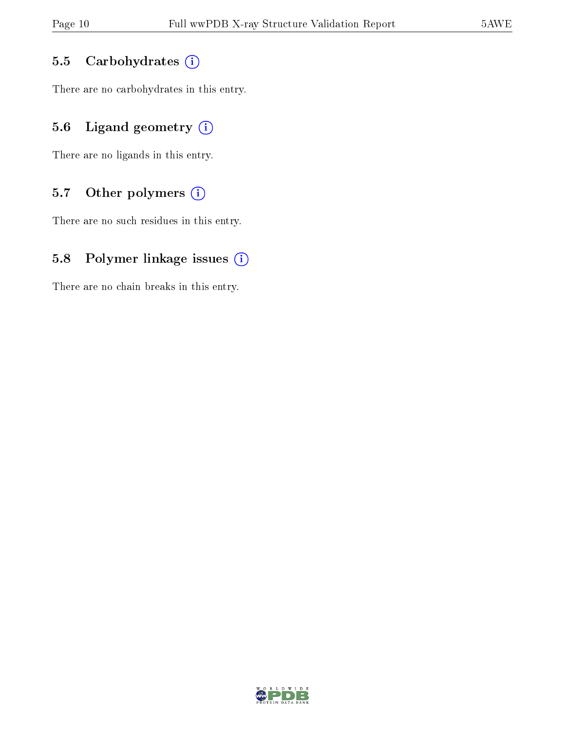### 5.5 Carbohydrates  $(i)$

There are no carbohydrates in this entry.

## 5.6 Ligand geometry  $(i)$

There are no ligands in this entry.

### 5.7 [O](https://www.wwpdb.org/validation/2017/XrayValidationReportHelp#nonstandard_residues_and_ligands)ther polymers  $(i)$

There are no such residues in this entry.

### 5.8 Polymer linkage issues  $(i)$

There are no chain breaks in this entry.